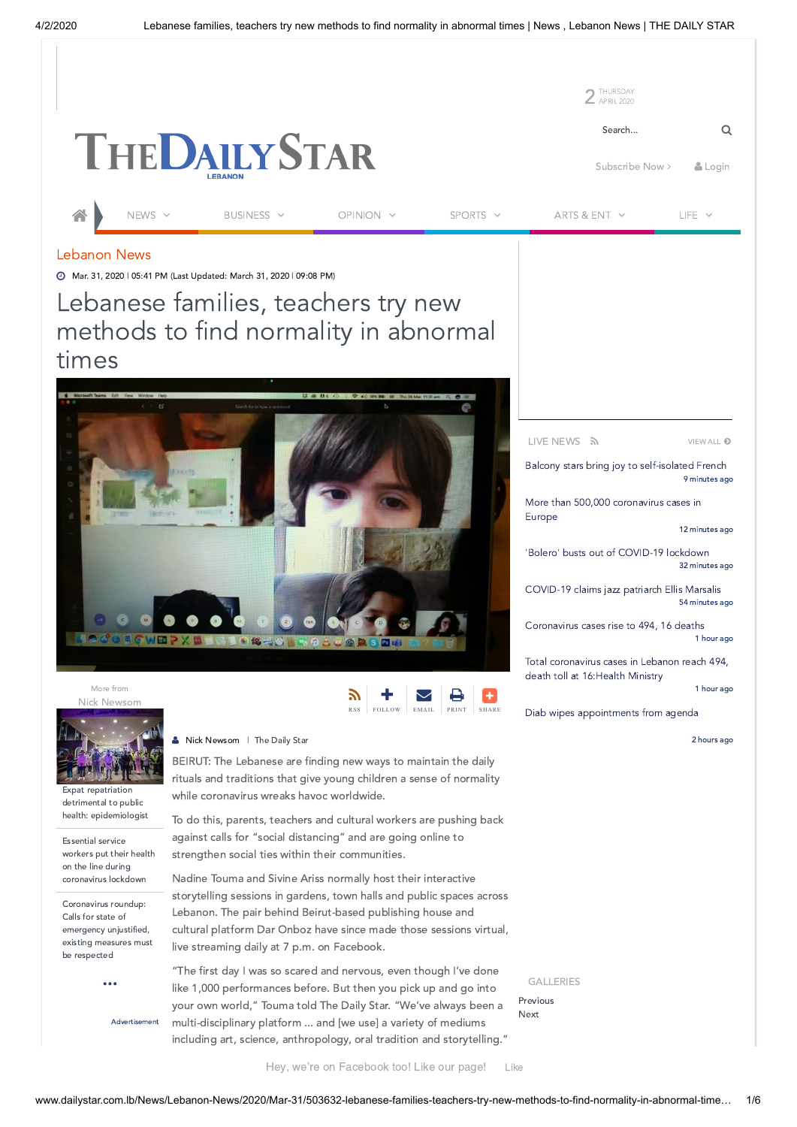

## Lebanon News

Mar. 31, 2020 | 05:41 PM (Last Updated: March 31, 2020 | 09:08 PM)

Lebanese families, teachers try new methods to find normality in abnormal times



Nick [Newsom](http://www.dailystar.com.lb/Nick-Newsom.ashx) More from



Expat repatriation detrimental to public health: [epidemiologist](http://www.dailystar.com.lb/News/Lebanon-News/2020/Apr-01/503670-coronavirus-cases-in-lebanon-rise-to-479.ashx)

Essential service workers put their health on the line during [coronavirus](http://www.dailystar.com.lb/News/Lebanon-News/2020/Mar-28/503458-essential-service-workers-put-their-health-on-the-line-during-coronavirus-lockdown.ashx) lockdown

Coronavirus roundup: Calls for state of [emergency unjustified,](http://www.dailystar.com.lb/News/Lebanon-News/2020/Mar-25/503336-coronavirus-roundup-calls-for-state-of-emergency-unjustified-existing-measures-must-be-respected.ashx) existing measures must be respected

**[...](http://www.dailystar.com.lb/Nick-Newsom.ashx)**

Advertisement

**S** Nick [Newsom](http://www.dailystar.com.lb/Nick-Newsom.ashx) | The Daily Star

BEIRUT: The Lebanese are finding new ways to maintain the daily rituals and traditions that give young children a sense of normality while coronavirus wreaks havoc worldwide.

ן ע RSS

╋  $\begin{array}{|c|c|c|}\n\hline\n\text{FOLLOW} & \text{EMAIL}\n\end{array}$ 

EMAIL PRINT

PRINT [SHARE](javascript:void(0);)

To do this, parents, teachers and cultural workers are pushing back against calls for "social distancing" and are going online to strengthen social ties within their communities.

Nadine Touma and Sivine Ariss normally host their interactive storytelling sessions in gardens, town halls and public spaces across Lebanon. The pair behind Beirut-based publishing house and cultural platform Dar Onboz have since made those sessions virtual, live streaming daily at 7 p.m. on Facebook.

"The first day I was so scared and nervous, even though I've done like 1,000 performances before. But then you pick up and go into your own world," Touma told The Daily Star. "We've always been a multi-disciplinary platform ... and [we use] a variety of mediums including art, science, anthropology, oral tradition and storytelling." LIVE NEWS

[VIEW](http://www.dailystar.com.lb/LiveNews.aspx) ALL **O** 

9 minutes ago Balcony stars bring joy to [self-isolated](http://www.dailystar.com.lb/Life/Living/2020/Apr-02/503725-balcony-stars-bring-joy-to-self-isolating-french.ashx) French

More than 500,000 [coronavirus](http://www.dailystar.com.lb/News/World/2020/Apr-02/503724-more-than-500000-confirmed-coronavirus-cases-in-europe.ashx) cases in Europe

12 minutes ago

32 minutes ago 'Bolero' busts out of [COVID-19](http://www.dailystar.com.lb/Arts-and-Ent/Music/2020/Apr-02/503723-music-never-dies-bolero-busts-out-of-coronavirus-lockdown.ashx) lockdown

54 minutes ago [COVID-19](http://www.dailystar.com.lb/Arts-and-Ent/People/2020/Apr-02/503722-new-orleans-jazz-patriarch-ellis-marsalis-dead-at-85.ashx) claims jazz patriarch Ellis Marsalis

1 hour ago [Coronavirus](http://www.dailystar.com.lb/News/Lebanon-News/2020/Apr-02/503721-lebanon-coronavirus-cases-rise-to-494-death-toll-at-16.ashx) cases rise to 494, 16 deaths

Total [coronavirus](http://www.dailystar.com.lb/News/Lebanon-News/2020/Apr-02/503720-total-coronavirus-cases-in-lebanon-reach-494-death-toll-at-16health-ministry.ashx) cases in Lebanon reach 494, death toll at 16:Health Ministry

1 hour ago

Diab wipes [appointments](http://www.dailystar.com.lb/News/Lebanon-News/2020/Apr-02/503719-cabinet-meets-to-decide-on-banking-appointments.ashx) from agenda

2 hours ago

GALLERIES

Previous Next

Hey, we're on Facebook too! Like our page! [Like](http://www.facebook.com/dailystarleb)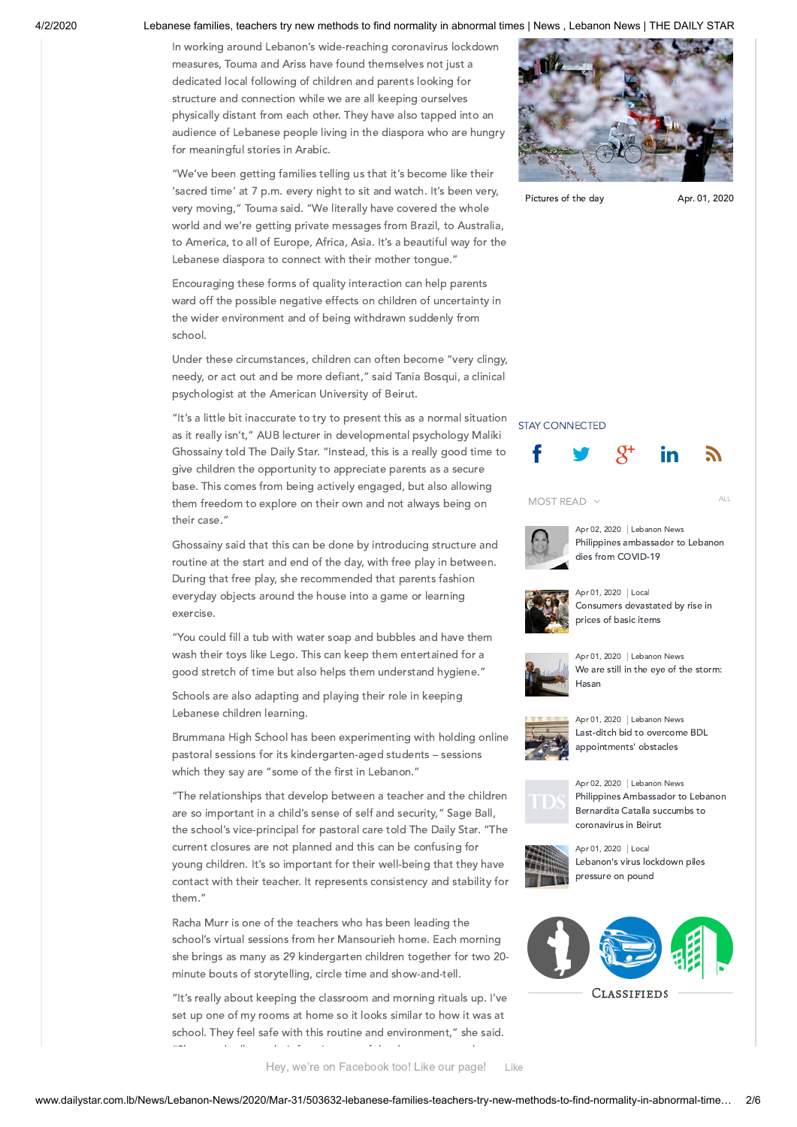### 4/2/2020 Lebanese families, teachers try new methods to find normality in abnormal times | News , Lebanon News | THE DAILY STAR

In working around Lebanon's wide-reaching coronavirus lockdown measures, Touma and Ariss have found themselves not just a dedicated local following of children and parents looking for structure and connection while we are all keeping ourselves physically distant from each other. They have also tapped into an audience of Lebanese people living in the diaspora who are hungry for meaningful stories in Arabic.

"We've been getting families telling us that it's become like their 'sacred time' at 7 p.m. every night to sit and watch. It's been very, very moving," Touma said. "We literally have covered the whole world and we're getting private messages from Brazil, to Australia, to America, to all of Europe, Africa, Asia. It's a beautiful way for the Lebanese diaspora to connect with their mother tongue."

Encouraging these forms of quality interaction can help parents ward off the possible negative effects on children of uncertainty in the wider environment and of being withdrawn suddenly from school.

Under these circumstances, children can often become "very clingy, needy, or act out and be more defiant," said Tania Bosqui, a clinical psychologist at the American University of Beirut.

"It's a little bit inaccurate to try to present this as a normal situation as it really isn't," AUB lecturer in developmental psychology Maliki Ghossainy told The Daily Star. "Instead, this is a really good time to give children the opportunity to appreciate parents as a secure base. This comes from being actively engaged, but also allowing them freedom to explore on their own and not always being on their case."

Ghossainy said that this can be done by introducing structure and routine at the start and end of the day, with free play in between. During that free play, she recommended that parents fashion everyday objects around the house into a game or learning exercise.

"You could fill a tub with water soap and bubbles and have them wash their toys like Lego. This can keep them entertained for a good stretch of time but also helps them understand hygiene."

Schools are also adapting and playing their role in keeping Lebanese children learning.

Brummana High School has been experimenting with holding online pastoral sessions for its kindergarten-aged students – sessions which they say are "some of the first in Lebanon."

"The relationships that develop between a teacher and the children are so important in a child's sense of self and security," Sage Ball, the school's vice-principal for pastoral care told The Daily Star. "The current closures are not planned and this can be confusing for young children. It's so important for their well-being that they have contact with their teacher. It represents consistency and stability for them."

Racha Murr is one of the teachers who has been leading the school's virtual sessions from her Mansourieh home. Each morning she brings as many as 29 kindergarten children together for two 20 minute bouts of storytelling, circle time and show-and-tell.

"It's really about keeping the classroom and morning rituals up. I've set up one of my rooms at home so it looks similar to how it was at school. They feel safe with this routine and environment," she said.



[Pictures](http://www.dailystar.com.lb/PhotoGallery.aspx?id=2482) of the day Apr. 01, 2020

### STAY CONNECTED







Apr 02, 2020 | Lebanon News Philippines [ambassador](http://www.dailystar.com.lb/News/Lebanon-News/2020/Apr-02/503710-philippines-ambassador-to-lebanon-dies-from-covid-19.ashx) to Lebanon dies from COVID-19

ALL



Apr 01, 2020 | Local [Consumers](http://www.dailystar.com.lb/Business/Local/2020/Apr-01/503690-consumers-devastated-by-rise-in-prices-of-basic-items.ashx) devastated by rise in prices of basic items



Apr 01, 2020 | Lebanon News We are still in the eye of the [storm:](http://www.dailystar.com.lb/News/Lebanon-News/2020/Apr-01/503696-we-are-still-in-the-eye-of-the-storm-hasan.ashx) Hasan



Apr 01, 2020 | Lebanon News Last-ditch bid to overcome BDL [appointments'](http://www.dailystar.com.lb/News/Lebanon-News/2020/Apr-01/503706-last-ditch-bid-to-overcome-bdl-appointments-obstacles.ashx) obstacles



Apr 02, 2020 | Lebanon News Philippines [Ambassador](http://www.dailystar.com.lb/News/Lebanon-News/2020/Apr-02/503709-philippines-ambassador-to-lebanon-bernardita-catalla-succumbs-to-coronavirus-in-beirut.ashx) to Lebanon Bernardita Catalla succumbs to coronavirus in Beirut



Apr 01, 2020 | Local [Lebanon's](http://www.dailystar.com.lb/Business/Local/2020/Apr-01/503688-lebanons-virus-lockdown-piles-pressure-on-pound.ashx) virus lockdown piles pressure on pound



Hey, we're on Facebook too! Like our page! [Like](http://www.facebook.com/dailystarleb)